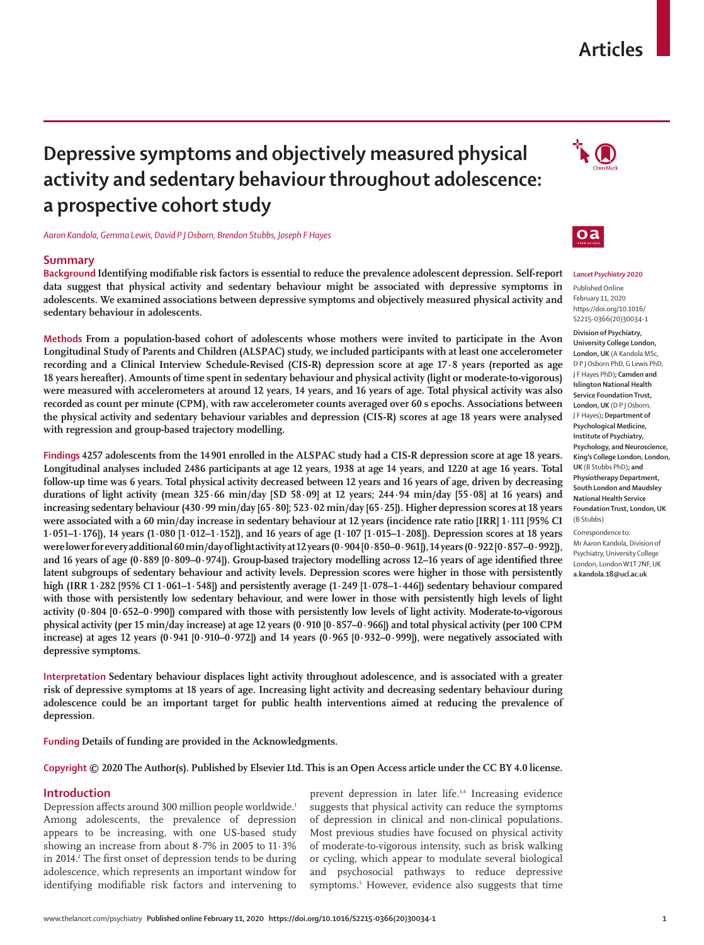# **Articles**

# **Depressive symptoms and objectively measured physical activity and sedentary behaviour throughout adolescence: a prospective cohort study**

*Aaron Kandola, Gemma Lewis, David P J Osborn, Brendon Stubbs, Joseph F Hayes*

# **Summary**

**Background Identifying modifiable risk factors is essential to reduce the prevalence adolescent depression. Self-report data suggest that physical activity and sedentary behaviour might be associated with depressive symptoms in adolescents. We examined associations between depressive symptoms and objectively measured physical activity and sedentary behaviour in adolescents.**

**Methods From a population-based cohort of adolescents whose mothers were invited to participate in the Avon Longitudinal Study of Parents and Children (ALSPAC) study, we included participants with at least one accelerometer recording and a Clinical Interview Schedule-Revised (CIS-R) depression score at age 17·8 years (reported as age 18 years hereafter). Amounts of time spent in sedentary behaviour and physical activity (light or moderate-to-vigorous) were measured with accelerometers at around 12 years, 14 years, and 16 years of age. Total physical activity was also recorded as count per minute (CPM), with raw accelerometer counts averaged over 60 s epochs. Associations between the physical activity and sedentary behaviour variables and depression (CIS-R) scores at age 18 years were analysed with regression and group-based trajectory modelling.**

**Findings 4257 adolescents from the 14901 enrolled in the ALSPAC study had a CIS-R depression score at age 18 years. Longitudinal analyses included 2486 participants at age 12 years, 1938 at age 14 years, and 1220 at age 16 years. Total follow-up time was 6 years. Total physical activity decreased between 12 years and 16 years of age, driven by decreasing durations of light activity (mean 325·66 min/day [SD 58·09] at 12 years; 244·94 min/day [55·08] at 16 years) and increasing sedentary behaviour (430·99 min/day [65·80]; 523·02 min/day [65·25]). Higher depression scores at 18 years were associated with a 60 min/day increase in sedentary behaviour at 12 years (incidence rate ratio [IRR] 1·111 [95% CI 1·051–1·176]), 14 years (1·080 [1·012–1·152]), and 16 years of age (1·107 [1·015–1·208]). Depression scores at 18 years were lower for every additional 60 min/day of light activity at 12 years (0·904 [0·850–0·961]), 14 years (0·922 [0·857–0·992]), and 16 years of age (0·889 [0·809–0·974]). Group-based trajectory modelling across 12–16 years of age identified three latent subgroups of sedentary behaviour and activity levels. Depression scores were higher in those with persistently high (IRR 1·282 [95% CI 1·061–1·548]) and persistently average (1·249 [1·078–1·446]) sedentary behaviour compared**  with those with persistently low sedentary behaviour, and were lower in those with persistently high levels of light **activity (0·804 [0·652–0·990]) compared with those with persistently low levels of light activity. Moderate-to-vigorous physical activity (per 15 min/day increase) at age 12 years (0·910 [0·857–0·966]) and total physical activity (per 100 CPM increase) at ages 12 years (0·941 [0·910–0·972]) and 14 years (0·965 [0·932–0·999]), were negatively associated with depressive symptoms.**

**Interpretation Sedentary behaviour displaces light activity throughout adolescence, and is associated with a greater risk of depressive symptoms at 18 years of age. Increasing light activity and decreasing sedentary behaviour during adolescence could be an important target for public health interventions aimed at reducing the prevalence of depression.**

**Funding Details of funding are provided in the Acknowledgments.** 

## **Copyright © 2020 The Author(s). Published by Elsevier Ltd. This is an Open Access article under the CC BY 4.0 license.**

# **Introduction**

Depression affects around 300 million people worldwide.1 Among adolescents, the prevalence of depression appears to be increasing, with one US-based study showing an increase from about 8·7% in 2005 to 11·3% in 2014.<sup>2</sup> The first onset of depression tends to be during adolescence, which represents an important window for identifying modifiable risk factors and intervening to

prevent depression in later life.3,4 Increasing evidence suggests that physical activity can reduce the symptoms of depression in clinical and non-clinical populations. Most previous studies have focused on physical activity of moderate-to-vigorous intensity, such as brisk walking or cycling, which appear to modulate several biological and psychosocial pathways to reduce depressive symptoms.<sup>5</sup> However, evidence also suggests that time





## *Lancet Psychiatry* **2020** Published **Online** February 11, 2020

https://doi.org/10.1016/ S2215-0366(20)30034-1

**Division of Psychiatry, University College London, London, UK** (A Kandola MSc, D P J Osborn PhD, G Lewis PhD, J F Hayes PhD)**; Camden and Islington National Health Service Foundation Trust, London, UK** (D P J Osborn, J F Hayes)**; Department of Psychological Medicine, Institute of Psychiatry, Psychology, and Neuroscience, King's College London, London, UK** (B Stubbs PhD)**; and Physiotherapy Department, South London and Maudsley National Health Service Foundation Trust, London, UK**  (B Stubbs)

Correspondence to: Mr Aaron Kandola, Division of Psychiatry, University College London, London W1T 7NF, UK **a.kandola.18@ucl.ac.uk**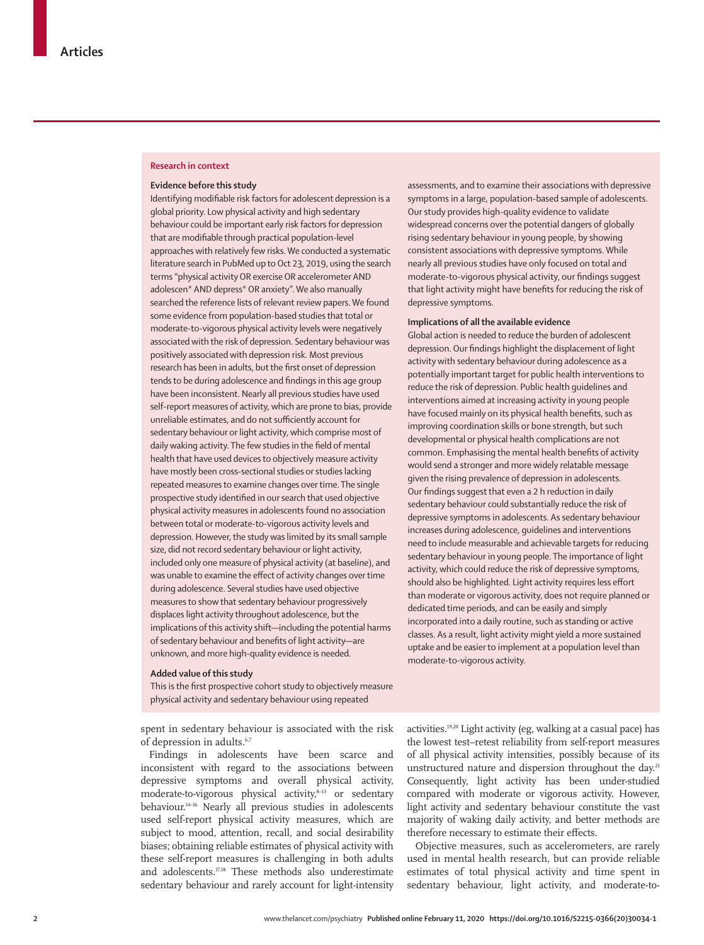## **Research in context**

### **Evidence before this study**

Identifying modifiable risk factors for adolescent depression is a global priority. Low physical activity and high sedentary behaviour could be important early risk factors for depression that are modifiable through practical population-level approaches with relatively few risks. We conducted a systematic literature search in PubMed up to Oct 23, 2019, using the search terms "physical activity OR exercise OR accelerometer AND adolescen\* AND depress\* OR anxiety". We also manually searched the reference lists of relevant review papers. We found some evidence from population-based studies that total or moderate-to-vigorous physical activity levels were negatively associated with the risk of depression. Sedentary behaviour was positively associated with depression risk. Most previous research has been in adults, but the first onset of depression tends to be during adolescence and findings in this age group have been inconsistent. Nearly all previous studies have used self-report measures of activity, which are prone to bias, provide unreliable estimates, and do not sufficiently account for sedentary behaviour or light activity, which comprise most of daily waking activity. The few studies in the field of mental health that have used devices to objectively measure activity have mostly been cross-sectional studies or studies lacking repeated measures to examine changes over time. The single prospective study identified in our search that used objective physical activity measures in adolescents found no association between total or moderate-to-vigorous activity levels and depression. However, the study was limited by its small sample size, did not record sedentary behaviour or light activity, included only one measure of physical activity (at baseline), and was unable to examine the effect of activity changes over time during adolescence. Several studies have used objective measures to show that sedentary behaviour progressively displaces light activity throughout adolescence, but the implications of this activity shift—including the potential harms of sedentary behaviour and benefits of light activity—are unknown, and more high-quality evidence is needed.

#### **Added value of this study**

This is the first prospective cohort study to objectively measure physical activity and sedentary behaviour using repeated

spent in sedentary behaviour is associated with the risk of depression in adults.<sup>6,7</sup>

Findings in adolescents have been scarce and inconsistent with regard to the associations between depressive symptoms and overall physical activity, moderate-to-vigorous physical activity,<sup>8-13</sup> or sedentary behaviour.14–16 Nearly all previous studies in adolescents used self-report physical activity measures, which are subject to mood, attention, recall, and social desirability biases; obtaining reliable estimates of physical activity with these self-report measures is challenging in both adults and adolescents.17,18 These methods also underestimate sedentary behaviour and rarely account for light-intensity

assessments, and to examine their associations with depressive symptoms in a large, population-based sample of adolescents. Our study provides high-quality evidence to validate widespread concerns over the potential dangers of globally rising sedentary behaviour in young people, by showing consistent associations with depressive symptoms. While nearly all previous studies have only focused on total and moderate-to-vigorous physical activity, our findings suggest that light activity might have benefits for reducing the risk of depressive symptoms.

# **Implications of all the available evidence**

Global action is needed to reduce the burden of adolescent depression. Our findings highlight the displacement of light activity with sedentary behaviour during adolescence as a potentially important target for public health interventions to reduce the risk of depression. Public health guidelines and interventions aimed at increasing activity in young people have focused mainly on its physical health benefits, such as improving coordination skills or bone strength, but such developmental or physical health complications are not common. Emphasising the mental health benefits of activity would send a stronger and more widely relatable message given the rising prevalence of depression in adolescents. Our findings suggest that even a 2 h reduction in daily sedentary behaviour could substantially reduce the risk of depressive symptoms in adolescents. As sedentary behaviour increases during adolescence, guidelines and interventions need to include measurable and achievable targets for reducing sedentary behaviour in young people. The importance of light activity, which could reduce the risk of depressive symptoms, should also be highlighted. Light activity requires less effort than moderate or vigorous activity, does not require planned or dedicated time periods, and can be easily and simply incorporated into a daily routine, such as standing or active classes. As a result, light activity might yield a more sustained uptake and be easier to implement at a population level than moderate-to-vigorous activity.

activities.19,20 Light activity (eg, walking at a casual pace) has the lowest test–retest reliability from self-report measures of all physical activity intensities, possibly because of its unstructured nature and dispersion throughout the day.<sup>21</sup> Consequently, light activity has been under-studied compared with moderate or vigorous activity. However, light activity and sedentary behaviour constitute the vast majority of waking daily activity, and better methods are therefore necessary to estimate their effects.

Objective measures, such as accelerometers, are rarely used in mental health research, but can provide reliable estimates of total physical activity and time spent in sedentary behaviour, light activity, and moderate-to-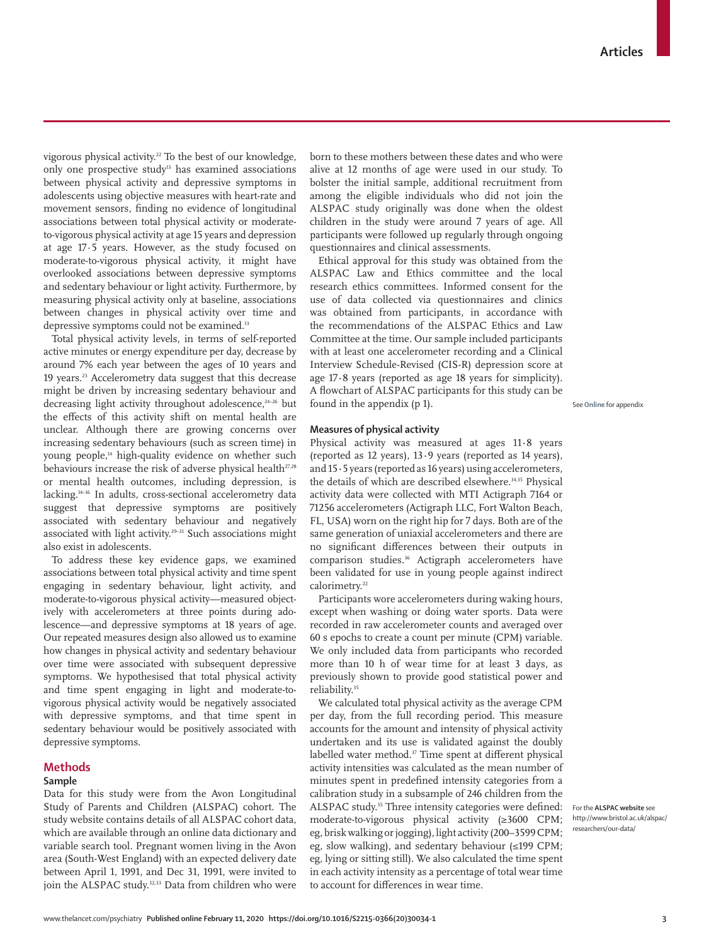vigorous physical activity.<sup>22</sup> To the best of our knowledge, only one prospective study<sup>13</sup> has examined associations between physical activity and depressive symptoms in adolescents using objective measures with heart-rate and movement sensors, finding no evidence of longitudinal associations between total physical activity or moderateto-vigorous physical activity at age 15 years and depression at age 17·5 years. However, as the study focused on moderate-to-vigorous physical activity, it might have overlooked associations between depressive symptoms and sedentary behaviour or light activity. Furthermore, by measuring physical activity only at baseline, associations between changes in physical activity over time and depressive symptoms could not be examined.<sup>13</sup>

Total physical activity levels, in terms of self-reported active minutes or energy expenditure per day, decrease by around 7% each year between the ages of 10 years and 19 years.23 Accelerometry data suggest that this decrease might be driven by increasing sedentary behaviour and decreasing light activity throughout adolescence,<sup>24-26</sup> but the effects of this activity shift on mental health are unclear. Although there are growing concerns over increasing sedentary behaviours (such as screen time) in young people,<sup>14</sup> high-quality evidence on whether such behaviours increase the risk of adverse physical health<sup>27,28</sup> or mental health outcomes, including depression, is lacking.14–16 In adults, cross-sectional accelerometry data suggest that depressive symptoms are positively associated with sedentary behaviour and negatively associated with light activity.29–31 Such associations might also exist in adolescents.

To address these key evidence gaps, we examined associations between total physical activity and time spent engaging in sedentary behaviour, light activity, and moderate-to-vigorous physical activity—measured objectively with accelerometers at three points during adolescence—and depressive symptoms at 18 years of age. Our repeated measures design also allowed us to examine how changes in physical activity and sedentary behaviour over time were associated with subsequent depressive symptoms. We hypothesised that total physical activity and time spent engaging in light and moderate-tovigorous physical activity would be negatively associated with depressive symptoms, and that time spent in sedentary behaviour would be positively associated with depressive symptoms.

# **Methods**

# **Sample**

Data for this study were from the Avon Longitudinal Study of Parents and Children [\(ALSPAC\)](http://www.bristol.ac.uk/alspac/researchers/our-data/) cohort. The study website contains details of all ALSPAC cohort data, which are available through an online data dictionary and variable search tool. Pregnant women living in the Avon area (South-West England) with an expected delivery date between April 1, 1991, and Dec 31, 1991, were invited to join the ALSPAC study.<sup>32,33</sup> Data from children who were born to these mothers between these dates and who were alive at 12 months of age were used in our study. To bolster the initial sample, additional recruitment from among the eligible individuals who did not join the ALSPAC study originally was done when the oldest children in the study were around 7 years of age. All participants were followed up regularly through ongoing questionnaires and clinical assessments.

Ethical approval for this study was obtained from the ALSPAC Law and Ethics committee and the local research ethics committees. Informed consent for the use of data collected via questionnaires and clinics was obtained from participants, in accordance with the recommendations of the ALSPAC Ethics and Law Committee at the time. Our sample included participants with at least one accelerometer recording and a Clinical Interview Schedule-Revised (CIS-R) depression score at age 17**·**8 years (reported as age 18 years for simplicity). A flowchart of ALSPAC participants for this study can be found in the appendix (p 1).

**See Online for appendix** 

# **Measures of physical activity**

Physical activity was measured at ages 11**·**8 years (reported as 12 years), 13**·**9 years (reported as 14 years), and 15**·**5 years (reported as 16 years) using accelerometers, the details of which are described elsewhere.<sup>34,35</sup> Physical activity data were collected with MTI Actigraph 7164 or 71256 accelerometers (Actigraph LLC, Fort Walton Beach, FL, USA) worn on the right hip for 7 days. Both are of the same generation of uniaxial accelerometers and there are no significant differences between their outputs in comparison studies.<sup>36</sup> Actigraph accelerometers have been validated for use in young people against indirect calorimetry.<sup>22</sup>

Participants wore accelerometers during waking hours, except when washing or doing water sports. Data were recorded in raw accelerometer counts and averaged over 60 s epochs to create a count per minute (CPM) variable. We only included data from participants who recorded more than 10 h of wear time for at least 3 days, as previously shown to provide good statistical power and reliability.35

We calculated total physical activity as the average CPM per day, from the full recording period. This measure accounts for the amount and intensity of physical activity undertaken and its use is validated against the doubly labelled water method.<sup>37</sup> Time spent at different physical activity intensities was calculated as the mean number of minutes spent in predefined intensity categories from a calibration study in a subsample of 246 children from the ALSPAC study.<sup>35</sup> Three intensity categories were defined: moderate-to-vigorous physical activity (≥3600 CPM; eg, brisk walking or jogging), light activity (200–3599 CPM; eg, slow walking), and sedentary behaviour (≤199 CPM; eg, lying or sitting still). We also calculated the time spent in each activity intensity as a percentage of total wear time to account for differences in wear time.

For the **ALSPAC website** see [http://www.bristol.ac.uk/alspac/](http://www.bristol.ac.uk/alspac/researchers/our-data/) [researchers/our-data/](http://www.bristol.ac.uk/alspac/researchers/our-data/)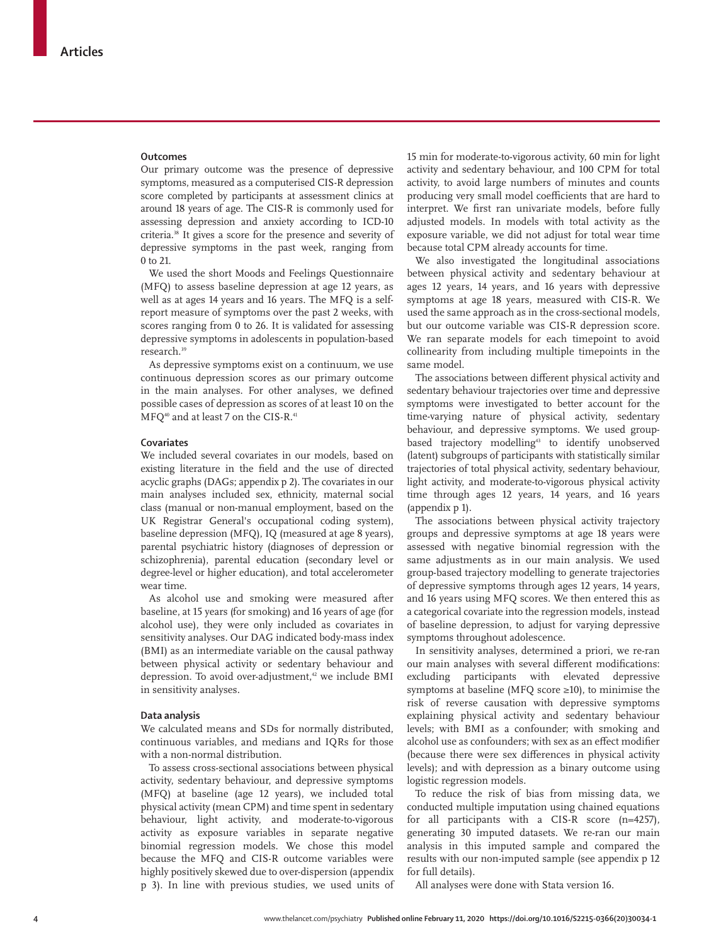### **Outcomes**

Our primary outcome was the presence of depressive symptoms, measured as a computerised CIS-R depression score completed by participants at assessment clinics at around 18 years of age. The CIS-R is commonly used for assessing depression and anxiety according to ICD-10 criteria.38 It gives a score for the presence and severity of depressive symptoms in the past week, ranging from 0 to 21.

We used the short Moods and Feelings Questionnaire (MFQ) to assess baseline depression at age 12 years, as well as at ages 14 years and 16 years. The MFQ is a selfreport measure of symptoms over the past 2 weeks, with scores ranging from 0 to 26. It is validated for assessing depressive symptoms in adolescents in population-based research.39

As depressive symptoms exist on a continuum, we use continuous depression scores as our primary outcome in the main analyses. For other analyses, we defined possible cases of depression as scores of at least 10 on the MFO<sup>40</sup> and at least 7 on the CIS-R.<sup>41</sup>

# **Covariates**

We included several covariates in our models, based on existing literature in the field and the use of directed acyclic graphs (DAGs; appendix p 2). The covariates in our main analyses included sex, ethnicity, maternal social class (manual or non-manual employment, based on the UK Registrar General's occupational coding system), baseline depression (MFQ), IQ (measured at age 8 years), parental psychiatric history (diagnoses of depression or schizophrenia), parental education (secondary level or degree-level or higher education), and total accelerometer wear time.

As alcohol use and smoking were measured after baseline, at 15 years (for smoking) and 16 years of age (for alcohol use), they were only included as covariates in sensitivity analyses. Our DAG indicated body-mass index (BMI) as an intermediate variable on the causal pathway between physical activity or sedentary behaviour and depression. To avoid over-adjustment,<sup>42</sup> we include BMI in sensitivity analyses.

## **Data analysis**

We calculated means and SDs for normally distributed, continuous variables, and medians and IQRs for those with a non-normal distribution.

To assess cross-sectional associations between physical activity, sedentary behaviour, and depressive symptoms (MFQ) at baseline (age 12 years), we included total physical activity (mean CPM) and time spent in sedentary behaviour, light activity, and moderate-to-vigorous activity as exposure variables in separate negative binomial regression models. We chose this model because the MFQ and CIS-R outcome variables were highly positively skewed due to over-dispersion (appendix p 3). In line with previous studies, we used units of

15 min for moderate-to-vigorous activity, 60 min for light activity and sedentary behaviour, and 100 CPM for total activity, to avoid large numbers of minutes and counts producing very small model coefficients that are hard to interpret. We first ran univariate models, before fully adjusted models. In models with total activity as the exposure variable, we did not adjust for total wear time because total CPM already accounts for time.

We also investigated the longitudinal associations between physical activity and sedentary behaviour at ages 12 years, 14 years, and 16 years with depressive symptoms at age 18 years, measured with CIS-R. We used the same approach as in the cross-sectional models, but our outcome variable was CIS-R depression score. We ran separate models for each timepoint to avoid collinearity from including multiple timepoints in the same model.

The associations between different physical activity and sedentary behaviour trajectories over time and depressive symptoms were investigated to better account for the time-varying nature of physical activity, sedentary behaviour, and depressive symptoms. We used groupbased trajectory modelling<sup>43</sup> to identify unobserved (latent) subgroups of participants with statistically similar trajectories of total physical activity, sedentary behaviour, light activity, and moderate-to-vigorous physical activity time through ages 12 years, 14 years, and 16 years (appendix p 1).

The associations between physical activity trajectory groups and depressive symptoms at age 18 years were assessed with negative binomial regression with the same adjustments as in our main analysis. We used group-based trajectory modelling to generate trajectories of depressive symptoms through ages 12 years, 14 years, and 16 years using MFQ scores. We then entered this as a categorical covariate into the regression models, instead of baseline depression, to adjust for varying depressive symptoms throughout adolescence.

In sensitivity analyses, determined a priori, we re-ran our main analyses with several different modifications: excluding participants with elevated depressive symptoms at baseline (MFQ score ≥10), to minimise the risk of reverse causation with depressive symptoms explaining physical activity and sedentary behaviour levels; with BMI as a confounder; with smoking and alcohol use as confounders; with sex as an effect modifier (because there were sex differences in physical activity levels); and with depression as a binary outcome using logistic regression models.

To reduce the risk of bias from missing data, we conducted multiple imputation using chained equations for all participants with a CIS-R score (n=4257), generating 30 imputed datasets. We re-ran our main analysis in this imputed sample and compared the results with our non-imputed sample (see appendix p 12 for full details).

All analyses were done with Stata version 16.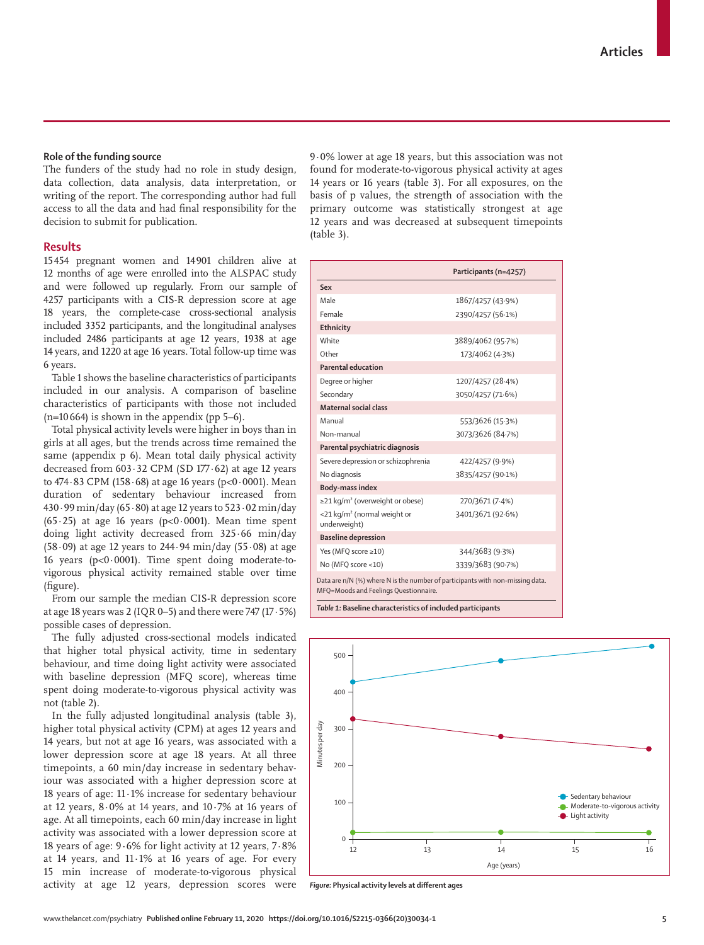## **Role of the funding source**

The funders of the study had no role in study design, data collection, data analysis, data interpretation, or writing of the report. The corresponding author had full access to all the data and had final responsibility for the decision to submit for publication.

# **Results**

15454 pregnant women and 14901 children alive at 12 months of age were enrolled into the ALSPAC study and were followed up regularly. From our sample of 4257 participants with a CIS-R depression score at age 18 years, the complete-case cross-sectional analysis included 3352 participants, and the longitudinal analyses included 2486 participants at age 12 years, 1938 at age 14 years, and 1220 at age 16 years. Total follow-up time was 6 years.

Table 1 shows the baseline characteristics of participants included in our analysis. A comparison of baseline characteristics of participants with those not included  $(n=10 664)$  is shown in the appendix (pp 5–6).

Total physical activity levels were higher in boys than in girls at all ages, but the trends across time remained the same (appendix p 6). Mean total daily physical activity decreased from  $603.32$  CPM (SD 177 $.62$ ) at age 12 years to  $474.83$  CPM  $(158.68)$  at age 16 years  $(p<0.0001)$ . Mean duration of sedentary behaviour increased from 430·99 min/day (65·80) at age 12 years to 523·02 min/day (65·25) at age 16 years (p<0·0001). Mean time spent doing light activity decreased from 325·66 min/day (58 $\cdot$ 09) at age 12 years to 244 $\cdot$ 94 min/day (55 $\cdot$ 08) at age 16 years (p<0·0001). Time spent doing moderate-tovigorous physical activity remained stable over time (figure).

From our sample the median CIS-R depression score at age 18 years was 2 (IQR 0–5) and there were  $747$  (17 $\cdot$  5%) possible cases of depression.

The fully adjusted cross-sectional models indicated that higher total physical activity, time in sedentary behaviour, and time doing light activity were associated with baseline depression (MFQ score), whereas time spent doing moderate-to-vigorous physical activity was not (table 2).

In the fully adjusted longitudinal analysis (table 3), higher total physical activity (CPM) at ages 12 years and 14 years, but not at age 16 years, was associated with a lower depression score at age 18 years. At all three timepoints, a 60 min/day increase in sedentary behaviour was associated with a higher depression score at 18 years of age: 11**·**1% increase for sedentary behaviour at 12 years, 8·0% at 14 years, and 10**·**7% at 16 years of age. At all timepoints, each 60 min/day increase in light activity was associated with a lower depression score at 18 years of age: 9**·**6% for light activity at 12 years, 7·8% at 14 years, and 11**·**1% at 16 years of age. For every 15 min increase of moderate-to-vigorous physical activity at age 12 years, depression scores were 9·0% lower at age 18 years, but this association was not found for moderate-to-vigorous physical activity at ages 14 years or 16 years (table 3). For all exposures, on the basis of p values, the strength of association with the primary outcome was statistically strongest at age 12 years and was decreased at subsequent timepoints (table 3).

|                                                                                                                        | Participants (n=4257) |
|------------------------------------------------------------------------------------------------------------------------|-----------------------|
| Sex                                                                                                                    |                       |
| Male                                                                                                                   | 1867/4257 (43.9%)     |
| Female                                                                                                                 | 2390/4257 (56.1%)     |
| Ethnicity                                                                                                              |                       |
| White                                                                                                                  | 3889/4062 (95.7%)     |
| Other                                                                                                                  | 173/4062 (4.3%)       |
| Parental education                                                                                                     |                       |
| Degree or higher                                                                                                       | 1207/4257 (28.4%)     |
| Secondary                                                                                                              | 3050/4257 (71.6%)     |
| Maternal social class                                                                                                  |                       |
| Manual                                                                                                                 | 553/3626 (15.3%)      |
| Non-manual                                                                                                             | 3073/3626 (84.7%)     |
| Parental psychiatric diagnosis                                                                                         |                       |
| Severe depression or schizophrenia                                                                                     | 422/4257 (9.9%)       |
| No diagnosis                                                                                                           | 3835/4257 (90.1%)     |
| <b>Body-mass index</b>                                                                                                 |                       |
| $\geq$ 21 kg/m <sup>2</sup> (overweight or obese)                                                                      | 270/3671 (7.4%)       |
| $<$ 21 kg/m <sup>2</sup> (normal weight or<br>underweight)                                                             | 3401/3671 (92.6%)     |
| <b>Baseline depression</b>                                                                                             |                       |
| Yes (MFQ score ≥10)                                                                                                    | 344/3683 (9.3%)       |
| No (MFQ score <10)                                                                                                     | 3339/3683 (90.7%)     |
| Data are n/N (%) where N is the number of participants with non-missing data.<br>MFQ=Moods and Feelings Questionnaire. |                       |
| Table 1: Baseline characteristics of included participants                                                             |                       |



*Figure:* **Physical activity levels at different ages**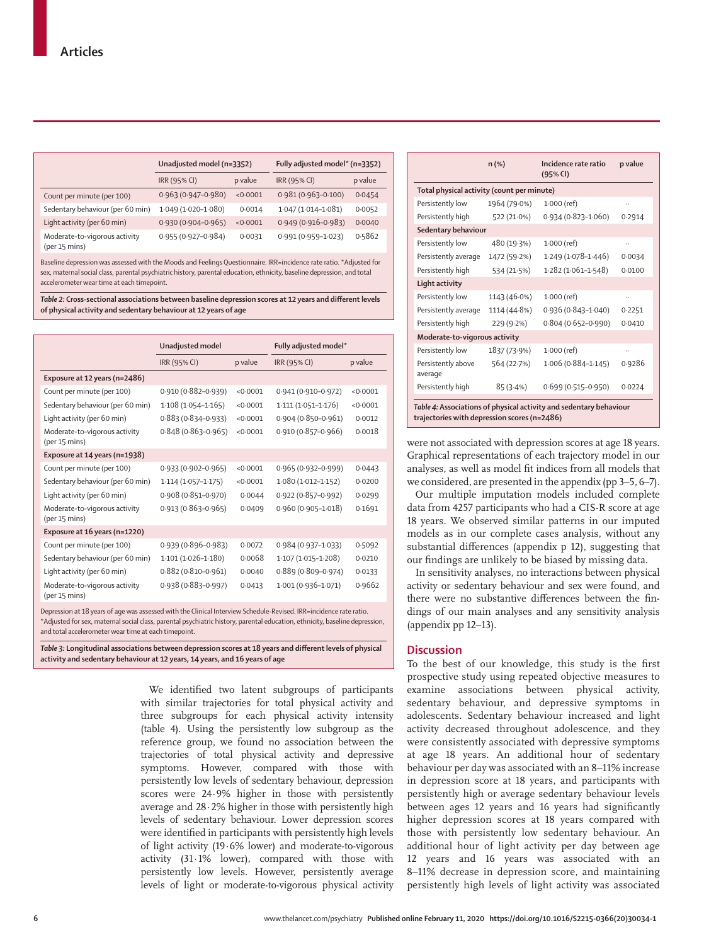|                                                | Unadjusted model (n=3352) |          | Fully adjusted model* (n=3352) |         |
|------------------------------------------------|---------------------------|----------|--------------------------------|---------|
|                                                | IRR (95% CI)              | p value  | IRR (95% CI)                   | p value |
| Count per minute (per 100)                     | $0.963(0.947 - 0.980)$    | < 0.0001 | $0.981(0.963 - 0.100)$         | 0.0454  |
| Sedentary behaviour (per 60 min)               | $1.049(1.020 - 1.080)$    | 0.0014   | $1.047(1.014 - 1.081)$         | 0.0052  |
| Light activity (per 60 min)                    | $0.930(0.904 - 0.965)$    | < 0.0001 | $0.949(0.916 - 0.983)$         | 0.0040  |
| Moderate-to-vigorous activity<br>(per 15 mins) | $0.955(0.927 - 0.984)$    | 0.0031   | $0.991(0.959 - 1.023)$         | 0.5862  |

Baseline depression was assessed with the Moods and Feelings Questionnaire. IRR=incidence rate ratio. \*Adjusted for sex, maternal social class, parental psychiatric history, parental education, ethnicity, baseline depression, and total accelerometer wear time at each timepoint.

*Table 2:* **Cross-sectional associations between baseline depression scores at 12 years and different levels of physical activity and sedentary behaviour at 12 years of age**

|                                                | Unadjusted model       |          | Fully adjusted model*  |          |
|------------------------------------------------|------------------------|----------|------------------------|----------|
|                                                | IRR (95% CI)           | p value  | IRR (95% CI)           | p value  |
| Exposure at 12 years (n=2486)                  |                        |          |                        |          |
| Count per minute (per 100)                     | 0.910 (0.882-0.939)    | < 0.0001 | $0.941(0.910 - 0.972)$ | < 0.0001 |
| Sedentary behaviour (per 60 min)               | $1.108(1.054 - 1.165)$ | < 0.0001 | $1.111(1.051 - 1.176)$ | < 0.0001 |
| Light activity (per 60 min)                    | $0.883(0.834 - 0.933)$ | < 0.0001 | $0.904(0.850 - 0.961)$ | 0.0012   |
| Moderate-to-vigorous activity<br>(per 15 mins) | $0.848(0.863 - 0.965)$ | < 0.0001 | 0.910 (0.857-0.966)    | 0.0018   |
| Exposure at 14 years (n=1938)                  |                        |          |                        |          |
| Count per minute (per 100)                     | $0.933(0.902 - 0.965)$ | < 0.0001 | 0.965 (0.932-0.999)    | 0.0443   |
| Sedentary behaviour (per 60 min)               | $1.114(1.057 - 1.175)$ | < 0.0001 | $1.080(1.012 - 1.152)$ | 0.0200   |
| Light activity (per 60 min)                    | $0.908(0.851 - 0.970)$ | 0.0044   | 0.922 (0.857-0.992)    | 0.0299   |
| Moderate-to-vigorous activity<br>(per 15 mins) | $0.913(0.863 - 0.965)$ | 0.0409   | 0.960 (0.905-1.018)    | 0.1691   |
| Exposure at 16 years (n=1220)                  |                        |          |                        |          |
| Count per minute (per 100)                     | $0.939(0.896 - 0.983)$ | 0.0072   | $0.984(0.937-1.033)$   | 0.5092   |
| Sedentary behaviour (per 60 min)               | $1.101(1.026 - 1.180)$ | 0.0068   | 1.107 (1.015-1.208)    | 0.0210   |
| Light activity (per 60 min)                    | $0.882(0.810 - 0.961)$ | 0.0040   | 0.889 (0.809-0.974)    | 0.0133   |
| Moderate-to-vigorous activity<br>(per 15 mins) | 0.938 (0.883-0.997)    | 0.0413   | 1.001 (0.936-1.071)    | 0.9662   |

Depression at 18 years of age was assessed with the Clinical Interview Schedule-Revised. IRR=incidence rate ratio. \*Adjusted for sex, maternal social class, parental psychiatric history, parental education, ethnicity, baseline depression, and total accelerometer wear time at each timepoint.

*Table 3:* **Longitudinal associations between depression scores at 18 years and different levels of physical activity and sedentary behaviour at 12 years, 14 years, and 16 years of age**

> We identified two latent subgroups of participants with similar trajectories for total physical activity and three subgroups for each physical activity intensity (table 4). Using the persistently low subgroup as the reference group, we found no association between the trajectories of total physical activity and depressive symptoms. However, compared with those with persistently low levels of sedentary behaviour, depression scores were 24·9% higher in those with persistently average and 28·2% higher in those with persistently high levels of sedentary behaviour. Lower depression scores were identified in participants with persistently high levels of light activity (19·6% lower) and moderate-to-vigorous activity (31·1% lower), compared with those with persistently low levels. However, persistently average levels of light or moderate-to-vigorous physical activity

|                                            | $n$ (%)      | Incidence rate ratio<br>(95% CI) | p value |  |
|--------------------------------------------|--------------|----------------------------------|---------|--|
| Total physical activity (count per minute) |              |                                  |         |  |
| Persistently low                           | 1964 (79.0%) | $1.000$ (ref)                    |         |  |
| Persistently high                          | 522 (21.0%)  | $0.934(0.823 - 1.060)$           | 0.2914  |  |
| Sedentary behaviour                        |              |                                  |         |  |
| Persistently low                           | 480 (19.3%)  | $1.000$ (ref)                    |         |  |
| Persistently average                       | 1472 (59.2%) | 1.249 (1.078-1.446)              | 0.0034  |  |
| Persistently high                          | 534 (21.5%)  | 1.282 (1.061-1.548)              | 0.0100  |  |
| Light activity                             |              |                                  |         |  |
| Persistently low                           | 1143 (46.0%) | $1.000$ (ref)                    |         |  |
| Persistently average                       | 1114 (44.8%) | 0.936 (0.843-1.040)              | 0.2251  |  |
| Persistently high                          | 229 (9.2%)   | $0.804(0.652 - 0.990)$           | 0.0410  |  |
| Moderate-to-vigorous activity              |              |                                  |         |  |
| Persistently low                           | 1837 (73.9%) | $1.000$ (ref)                    |         |  |
| Persistently above<br>average              | 564 (22.7%)  | $1.006(0.884 - 1.145)$           | 0.9286  |  |
| Persistently high                          | 85(3.4%)     | $0.699(0.515 - 0.950)$           | 0.0224  |  |

**trajectories with depression scores (n=2486)** 

were not associated with depression scores at age 18 years. Graphical representations of each trajectory model in our analyses, as well as model fit indices from all models that we considered, are presented in the appendix (pp 3–5, 6–7).

Our multiple imputation models included complete data from 4257 participants who had a CIS-R score at age 18 years. We observed similar patterns in our imputed models as in our complete cases analysis, without any substantial differences (appendix p 12), suggesting that our findings are unlikely to be biased by missing data.

In sensitivity analyses, no interactions between physical activity or sedentary behaviour and sex were found, and there were no substantive differences between the findings of our main analyses and any sensitivity analysis (appendix pp 12–13).

# **Discussion**

To the best of our knowledge, this study is the first prospective study using repeated objective measures to examine associations between physical activity, sedentary behaviour, and depressive symptoms in adolescents. Sedentary behaviour increased and light activity decreased throughout adolescence, and they were consistently associated with depressive symptoms at age 18 years. An additional hour of sedentary behaviour per day was associated with an 8–11% increase in depression score at 18 years, and participants with persistently high or average sedentary behaviour levels between ages 12 years and 16 years had significantly higher depression scores at 18 years compared with those with persistently low sedentary behaviour. An additional hour of light activity per day between age 12 years and 16 years was associated with an 8–11% decrease in depression score, and maintaining persistently high levels of light activity was associated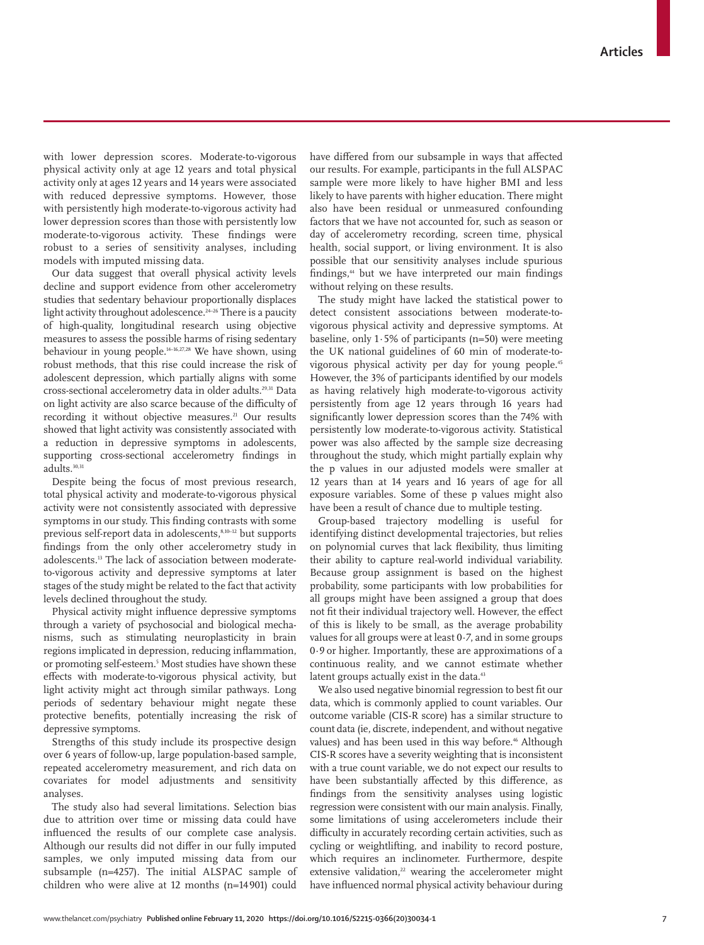with lower depression scores. Moderate-to-vigorous physical activity only at age 12 years and total physical activity only at ages 12 years and 14 years were associated with reduced depressive symptoms. However, those with persistently high moderate-to-vigorous activity had lower depression scores than those with persistently low moderate-to-vigorous activity. These findings were robust to a series of sensitivity analyses, including models with imputed missing data.

Our data suggest that overall physical activity levels decline and support evidence from other accelerometry studies that sedentary behaviour proportionally displaces light activity throughout adolescence. $24-26$  There is a paucity of high-quality, longitudinal research using objective measures to assess the possible harms of rising sedentary behaviour in young people.14–16,27,28 We have shown, using robust methods, that this rise could increase the risk of adolescent depression, which partially aligns with some cross-sectional accelerometry data in older adults.29,31 Data on light activity are also scarce because of the difficulty of recording it without objective measures.<sup>21</sup> Our results showed that light activity was consistently associated with a reduction in depressive symptoms in adolescents, supporting cross-sectional accelerometry findings in adults.<sup>30,31</sup>

Despite being the focus of most previous research, total physical activity and moderate-to-vigorous physical activity were not consistently associated with depressive symptoms in our study. This finding contrasts with some previous self-report data in adolescents,<sup>8,10-12</sup> but supports findings from the only other accelerometry study in adolescents.13 The lack of association between moderateto-vigorous activity and depressive symptoms at later stages of the study might be related to the fact that activity levels declined throughout the study.

Physical activity might influence depressive symptoms through a variety of psychosocial and biological mechanisms, such as stimulating neuroplasticity in brain regions implicated in depression, reducing inflammation, or promoting self-esteem.5 Most studies have shown these effects with moderate-to-vigorous physical activity, but light activity might act through similar pathways. Long periods of sedentary behaviour might negate these protective benefits, potentially increasing the risk of depressive symptoms.

Strengths of this study include its prospective design over 6 years of follow-up, large population-based sample, repeated accelerometry measurement, and rich data on covariates for model adjustments and sensitivity analyses.

The study also had several limitations. Selection bias due to attrition over time or missing data could have influenced the results of our complete case analysis. Although our results did not differ in our fully imputed samples, we only imputed missing data from our subsample (n=4257). The initial ALSPAC sample of children who were alive at 12 months (n=14901) could have differed from our subsample in ways that affected our results. For example, participants in the full ALSPAC sample were more likely to have higher BMI and less likely to have parents with higher education. There might also have been residual or unmeasured confounding factors that we have not accounted for, such as season or day of accelerometry recording, screen time, physical health, social support, or living environment. It is also possible that our sensitivity analyses include spurious findings,<sup>44</sup> but we have interpreted our main findings without relying on these results.

The study might have lacked the statistical power to detect consistent associations between moderate-tovigorous physical activity and depressive symptoms. At baseline, only 1·5% of participants (n=50) were meeting the UK national guidelines of 60 min of moderate-tovigorous physical activity per day for young people.45 However, the 3% of participants identified by our models as having relatively high moderate-to-vigorous activity persistently from age 12 years through 16 years had significantly lower depression scores than the 74% with persistently low moderate-to-vigorous activity. Statistical power was also affected by the sample size decreasing throughout the study, which might partially explain why the p values in our adjusted models were smaller at 12 years than at 14 years and 16 years of age for all exposure variables. Some of these p values might also have been a result of chance due to multiple testing.

Group-based trajectory modelling is useful for identifying distinct developmental trajectories, but relies on polynomial curves that lack flexibility, thus limiting their ability to capture real-world individual variability. Because group assignment is based on the highest probability, some participants with low probabilities for all groups might have been assigned a group that does not fit their individual trajectory well. However, the effect of this is likely to be small, as the average probability values for all groups were at least 0*·7*, and in some groups 0*·9* or higher. Importantly, these are approximations of a continuous reality, and we cannot estimate whether latent groups actually exist in the data.<sup>43</sup>

We also used negative binomial regression to best fit our data, which is commonly applied to count variables. Our outcome variable (CIS-R score) has a similar structure to count data (ie, discrete, independent, and without negative values) and has been used in this way before.<sup>46</sup> Although CIS-R scores have a severity weighting that is inconsistent with a true count variable, we do not expect our results to have been substantially affected by this difference, as findings from the sensitivity analyses using logistic regression were consistent with our main analysis. Finally, some limitations of using accelerometers include their difficulty in accurately recording certain activities, such as cycling or weightlifting, and inability to record posture, which requires an inclinometer. Furthermore, despite extensive validation, $22$  wearing the accelerometer might have influenced normal physical activity behaviour during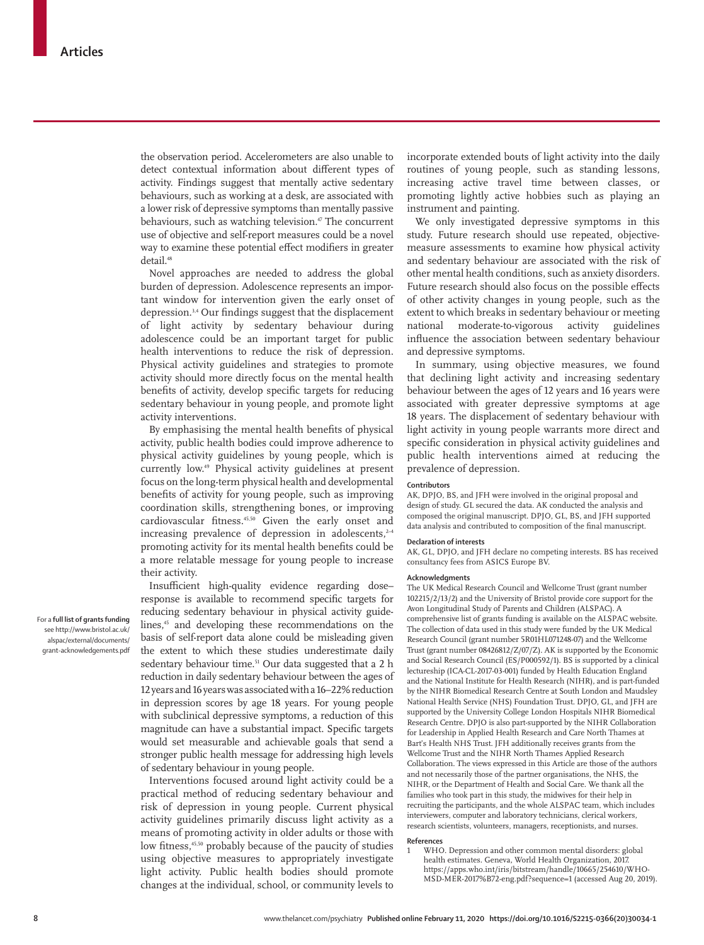the observation period. Accelerometers are also unable to detect contextual information about different types of activity. Findings suggest that mentally active sedentary behaviours, such as working at a desk, are associated with a lower risk of depressive symptoms than mentally passive behaviours, such as watching television.<sup>47</sup> The concurrent use of objective and self-report measures could be a novel way to examine these potential effect modifiers in greater detail.<sup>48</sup>

Novel approaches are needed to address the global burden of depression. Adolescence represents an important window for intervention given the early onset of depression.3,4 Our findings suggest that the displacement of light activity by sedentary behaviour during adolescence could be an important target for public health interventions to reduce the risk of depression. Physical activity guidelines and strategies to promote activity should more directly focus on the mental health benefits of activity, develop specific targets for reducing sedentary behaviour in young people, and promote light activity interventions.

By emphasising the mental health benefits of physical activity, public health bodies could improve adherence to physical activity guidelines by young people, which is currently low.49 Physical activity guidelines at present focus on the long-term physical health and developmental benefits of activity for young people, such as improving coordination skills, strengthening bones, or improving cardiovascular fitness.45,50 Given the early onset and increasing prevalence of depression in adolescents, $24$ promoting activity for its mental health benefits could be a more relatable message for young people to increase their activity.

Insufficient high-quality evidence regarding dose– response is available to recommend specific targets for reducing sedentary behaviour in physical activity guidelines,<sup>45</sup> and developing these recommendations on the basis of self-report data alone could be misleading given the extent to which these studies underestimate daily sedentary behaviour time.<sup>51</sup> Our data suggested that a 2 h reduction in daily sedentary behaviour between the ages of 12 years and 16 years was associated with a 16–22% reduction in depression scores by age 18 years. For young people with subclinical depressive symptoms, a reduction of this magnitude can have a substantial impact. Specific targets would set measurable and achievable goals that send a stronger public health message for addressing high levels of sedentary behaviour in young people.

Interventions focused around light activity could be a practical method of reducing sedentary behaviour and risk of depression in young people. Current physical activity guidelines primarily discuss light activity as a means of promoting activity in older adults or those with low fitness,<sup>45,50</sup> probably because of the paucity of studies using objective measures to appropriately investigate light activity. Public health bodies should promote changes at the individual, school, or community levels to incorporate extended bouts of light activity into the daily routines of young people, such as standing lessons, increasing active travel time between classes, or promoting lightly active hobbies such as playing an instrument and painting.

We only investigated depressive symptoms in this study. Future research should use repeated, objectivemeasure assessments to examine how physical activity and sedentary behaviour are associated with the risk of other mental health conditions, such as anxiety disorders. Future research should also focus on the possible effects of other activity changes in young people, such as the extent to which breaks in sedentary behaviour or meeting national moderate-to-vigorous activity guidelines influence the association between sedentary behaviour and depressive symptoms.

In summary, using objective measures, we found that declining light activity and increasing sedentary behaviour between the ages of 12 years and 16 years were associated with greater depressive symptoms at age 18 years. The displacement of sedentary behaviour with light activity in young people warrants more direct and specific consideration in physical activity guidelines and public health interventions aimed at reducing the prevalence of depression.

## **Contributors**

AK, DPJO, BS, and JFH were involved in the original proposal and design of study. GL secured the data. AK conducted the analysis and composed the original manuscript. DPJO, GL, BS, and JFH supported data analysis and contributed to composition of the final manuscript.

### **Declaration of interests**

AK, GL, DPJO, and JFH declare no competing interests. BS has received consultancy fees from ASICS Europe BV.

#### **Acknowledgments**

The UK Medical Research Council and Wellcome Trust (grant number 102215/2/13/2) and the University of Bristol provide core support for the Avon Longitudinal Study of Parents and Children (ALSPAC). A comprehensive list of [grants funding](http://www.bristol.ac.uk/alspac/external/documents/grant-acknowledgements.pdf) is available on the ALSPAC website. The collection of data used in this study were funded by the UK Medical Research Council (grant number 5R01HL071248-07) and the Wellcome Trust (grant number 08426812/Z/07/Z). AK is supported by the Economic and Social Research Council (ES/P000592/1). BS is supported by a clinical lectureship (ICA-CL-2017-03-001) funded by Health Education England and the National Institute for Health Research (NIHR), and is part-funded by the NIHR Biomedical Research Centre at South London and Maudsley National Health Service (NHS) Foundation Trust. DPJO, GL, and JFH are supported by the University College London Hospitals NIHR Biomedical Research Centre. DPJO is also part-supported by the NIHR Collaboration for Leadership in Applied Health Research and Care North Thames at Bart's Health NHS Trust. JFH additionally receives grants from the Wellcome Trust and the NIHR North Thames Applied Research Collaboration. The views expressed in this Article are those of the authors and not necessarily those of the partner organisations, the NHS, the NIHR, or the Department of Health and Social Care. We thank all the families who took part in this study, the midwives for their help in recruiting the participants, and the whole ALSPAC team, which includes interviewers, computer and laboratory technicians, clerical workers, research scientists, volunteers, managers, receptionists, and nurses.

#### **References**

WHO. Depression and other common mental disorders: global health estimates. Geneva, World Health Organization, 2017. https://apps.who.int/iris/bitstream/handle/10665/254610/WHO-MSD-MER-2017%B72-eng.pdf?sequence=1 (accessed Aug 20, 2019).

For a **full list of grants funding**  see [http://www.bristol.ac.uk/](http://www.bristol.ac.uk/alspac/external/documents/grant-acknowledgements.pdf) [alspac/external/documents/](http://www.bristol.ac.uk/alspac/external/documents/grant-acknowledgements.pdf) [grant-acknowledgements.pdf](http://www.bristol.ac.uk/alspac/external/documents/grant-acknowledgements.pdf)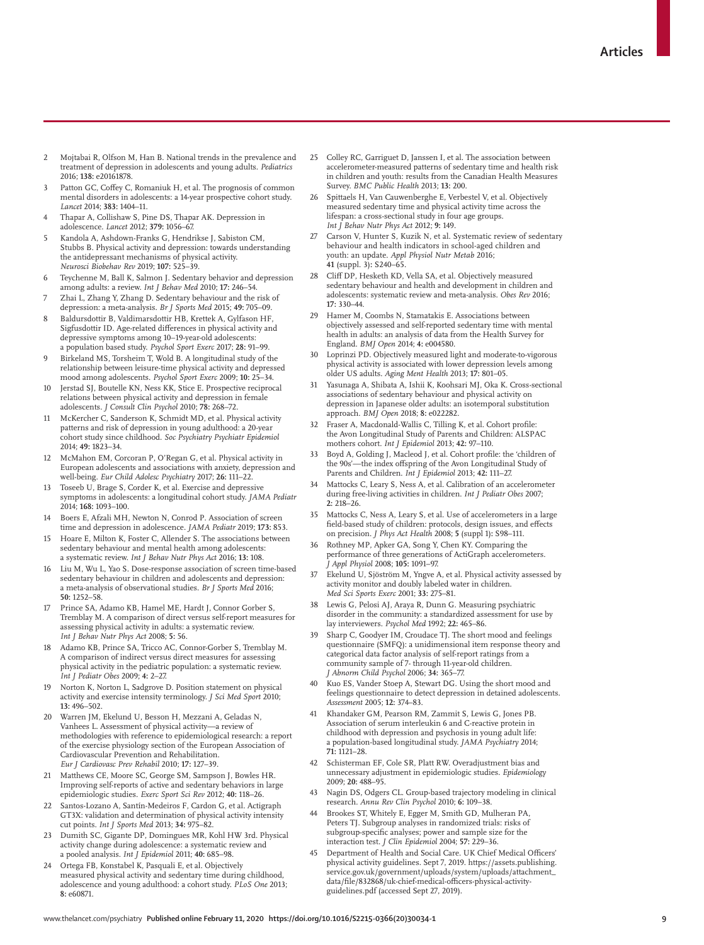- 2 Mojtabai R, Olfson M, Han B. National trends in the prevalence and treatment of depression in adolescents and young adults. *Pediatrics* 2016; **138:** e20161878.
- Patton GC, Coffey C, Romaniuk H, et al. The prognosis of common mental disorders in adolescents: a 14-year prospective cohort study. *Lancet* 2014; **383:** 1404–11.
- Thapar A, Collishaw S, Pine DS, Thapar AK. Depression in adolescence. *Lancet* 2012; **379:** 1056–67.
- 5 Kandola A, Ashdown-Franks G, Hendrikse J, Sabiston CM, Stubbs B. Physical activity and depression: towards understanding the antidepressant mechanisms of physical activity. *Neurosci Biobehav Rev* 2019; **107:** 525–39.
- 6 Teychenne M, Ball K, Salmon J. Sedentary behavior and depression among adults: a review. *Int J Behav Med* 2010; **17:** 246–54.
- 7 Zhai L, Zhang Y, Zhang D. Sedentary behaviour and the risk of depression: a meta-analysis. *Br J Sports Med* 2015; **49:** 705–09.
- 8 Baldursdottir B, Valdimarsdottir HB, Krettek A, Gylfason HF, Sigfusdottir ID. Age-related differences in physical activity and depressive symptoms among 10−19-year-old adolescents: a population based study. *Psychol Sport Exerc* 2017; **28:** 91–99.
- Birkeland MS, Torsheim T, Wold B. A longitudinal study of the relationship between leisure-time physical activity and depressed mood among adolescents. *Psychol Sport Exerc* 2009; **10:** 25–34.
- 10 Jerstad SJ, Boutelle KN, Ness KK, Stice E. Prospective reciprocal relations between physical activity and depression in female adolescents. *J Consult Clin Psychol* 2010; **78:** 268–72.
- 11 McKercher C, Sanderson K, Schmidt MD, et al. Physical activity patterns and risk of depression in young adulthood: a 20-year cohort study since childhood. *Soc Psychiatry Psychiatr Epidemiol* 2014; **49:** 1823–34.
- 12 McMahon EM, Corcoran P, O'Regan G, et al. Physical activity in European adolescents and associations with anxiety, depression and well-being. *Eur Child Adolesc Psychiatry* 2017; **26:** 111–22.
- 13 Toseeb U, Brage S, Corder K, et al. Exercise and depressive symptoms in adolescents: a longitudinal cohort study. *JAMA Pediatr* 2014; **168:** 1093–100.
- 14 Boers E, Afzali MH, Newton N, Conrod P. Association of screen time and depression in adolescence. *JAMA Pediatr* 2019; **173:** 853.
- 15 Hoare E, Milton K, Foster C, Allender S. The associations between sedentary behaviour and mental health among adolescents: a systematic review. *Int J Behav Nutr Phys Act* 2016; **13:** 108.
- 16 Liu M, Wu L, Yao S. Dose-response association of screen time-based sedentary behaviour in children and adolescents and depression: a meta-analysis of observational studies. *Br J Sports Med* 2016; **50:** 1252–58.
- 17 Prince SA, Adamo KB, Hamel ME, Hardt J, Connor Gorber S, Tremblay M. A comparison of direct versus self-report measures for assessing physical activity in adults: a systematic review. *Int J Behav Nutr Phys Act* 2008; **5:** 56.
- Adamo KB, Prince SA, Tricco AC, Connor-Gorber S, Tremblay M. A comparison of indirect versus direct measures for assessing physical activity in the pediatric population: a systematic review. *Int J Pediatr Obes* 2009; **4:** 2–27.
- 19 Norton K, Norton L, Sadgrove D. Position statement on physical activity and exercise intensity terminology. *J Sci Med Sport* 2010; **13:** 496–502.
- 20 Warren JM, Ekelund U, Besson H, Mezzani A, Geladas N, Vanhees L. Assessment of physical activity—a review of methodologies with reference to epidemiological research: a report of the exercise physiology section of the European Association of Cardiovascular Prevention and Rehabilitation. *Eur J Cardiovasc Prev Rehabil* 2010; **17:** 127–39.
- 21 Matthews CE, Moore SC, George SM, Sampson J, Bowles HR. Improving self-reports of active and sedentary behaviors in large epidemiologic studies. *Exerc Sport Sci Rev* 2012; **40:** 118–26.
- Santos-Lozano A, Santín-Medeiros F, Cardon G, et al. Actigraph GT3X: validation and determination of physical activity intensity cut points. *Int J Sports Med* 2013; **34:** 975–82.
- 23 Dumith SC, Gigante DP, Domingues MR, Kohl HW 3rd. Physical activity change during adolescence: a systematic review and a pooled analysis. *Int J Epidemiol* 2011; **40:** 685–98.
- Ortega FB, Konstabel K, Pasquali E, et al. Objectively measured physical activity and sedentary time during childhood, adolescence and young adulthood: a cohort study. *PLoS One* 2013; **8:** e60871.
- 25 Colley RC, Garriguet D, Janssen I, et al. The association between accelerometer-measured patterns of sedentary time and health risk in children and youth: results from the Canadian Health Measures Survey. *BMC Public Health* 2013; **13:** 200.
- 26 Spittaels H, Van Cauwenberghe E, Verbestel V, et al. Objectively measured sedentary time and physical activity time across the lifespan: a cross-sectional study in four age groups. *Int J Behav Nutr Phys Act* 2012; **9:** 149.
- Carson V, Hunter S, Kuzik N, et al. Systematic review of sedentary behaviour and health indicators in school-aged children and youth: an update. *Appl Physiol Nutr Metab* 2016; **41** (suppl. 3)**:** S240–65.
- 28 Cliff DP, Hesketh KD, Vella SA, et al. Objectively measured sedentary behaviour and health and development in children and adolescents: systematic review and meta-analysis. *Obes Rev* 2016; **17:** 330–44.
- 29 Hamer M, Coombs N, Stamatakis E. Associations between objectively assessed and self-reported sedentary time with mental health in adults: an analysis of data from the Health Survey for England. *BMJ Open* 2014; **4:** e004580.
- 30 Loprinzi PD. Objectively measured light and moderate-to-vigorous physical activity is associated with lower depression levels among older US adults. *Aging Ment Health* 2013; **17:** 801–05.
- 31 Yasunaga A, Shibata A, Ishii K, Koohsari MJ, Oka K. Cross-sectional associations of sedentary behaviour and physical activity on depression in Japanese older adults: an isotemporal substitution approach. *BMJ Open* 2018; **8:** e022282.
- 32 Fraser A, Macdonald-Wallis C, Tilling K, et al. Cohort profile: the Avon Longitudinal Study of Parents and Children: ALSPAC mothers cohort. *Int J Epidemiol* 2013; **42:** 97–110.
- 33 Boyd A, Golding J, Macleod J, et al. Cohort profile: the 'children of the 90s'—the index offspring of the Avon Longitudinal Study of Parents and Children. *Int J Epidemiol* 2013; **42:** 111–27.
- Mattocks C, Leary S, Ness A, et al. Calibration of an accelerometer during free-living activities in children. *Int J Pediatr Obes* 2007; **2:** 218–26.
- 35 Mattocks C, Ness A, Leary S, et al. Use of accelerometers in a large field-based study of children: protocols, design issues, and effects on precision. *J Phys Act Health* 2008; **5** (suppl 1)**:** S98–111.
- Rothney MP, Apker GA, Song Y, Chen KY. Comparing the performance of three generations of ActiGraph accelerometers. *J Appl Physiol* 2008; **105:** 1091–97.
- 37 Ekelund U, Sjöström M, Yngve A, et al. Physical activity assessed by activity monitor and doubly labeled water in children. *Med Sci Sports Exerc* 2001; **33:** 275–81.
- Lewis G, Pelosi AJ, Araya R, Dunn G. Measuring psychiatric disorder in the community: a standardized assessment for use by lay interviewers. *Psychol Med* 1992; **22:** 465–86.
- 39 Sharp C, Goodyer IM, Croudace TJ. The short mood and feelings questionnaire (SMFQ): a unidimensional item response theory and categorical data factor analysis of self-report ratings from a community sample of 7- through 11-year-old children. *J Abnorm Child Psychol* 2006; **34:** 365–77.
- 40 Kuo ES, Vander Stoep A, Stewart DG. Using the short mood and feelings questionnaire to detect depression in detained adolescents. *Assessment* 2005; **12:** 374–83.
- Khandaker GM, Pearson RM, Zammit S, Lewis G, Jones PB. Association of serum interleukin 6 and C-reactive protein in childhood with depression and psychosis in young adult life: a population-based longitudinal study. *JAMA Psychiatry* 2014; **71:** 1121–28.
- Schisterman EF, Cole SR, Platt RW. Overadjustment bias and unnecessary adjustment in epidemiologic studies. *Epidemiology* 2009; **20:** 488–95.
- Nagin DS, Odgers CL. Group-based trajectory modeling in clinical research. *Annu Rev Clin Psychol* 2010; **6:** 109–38.
- 44 Brookes ST, Whitely E, Egger M, Smith GD, Mulheran PA, Peters TJ. Subgroup analyses in randomized trials: risks of subgroup-specific analyses; power and sample size for the interaction test. *J Clin Epidemiol* 2004; **57:** 229–36.
- 45 Department of Health and Social Care. UK Chief Medical Officers' physical activity guidelines. Sept 7, 2019. https://assets.publishing. service.gov.uk/government/uploads/system/uploads/attachment\_ data/file/832868/uk-chief-medical-officers-physical-activityguidelines.pdf (accessed Sept 27, 2019).